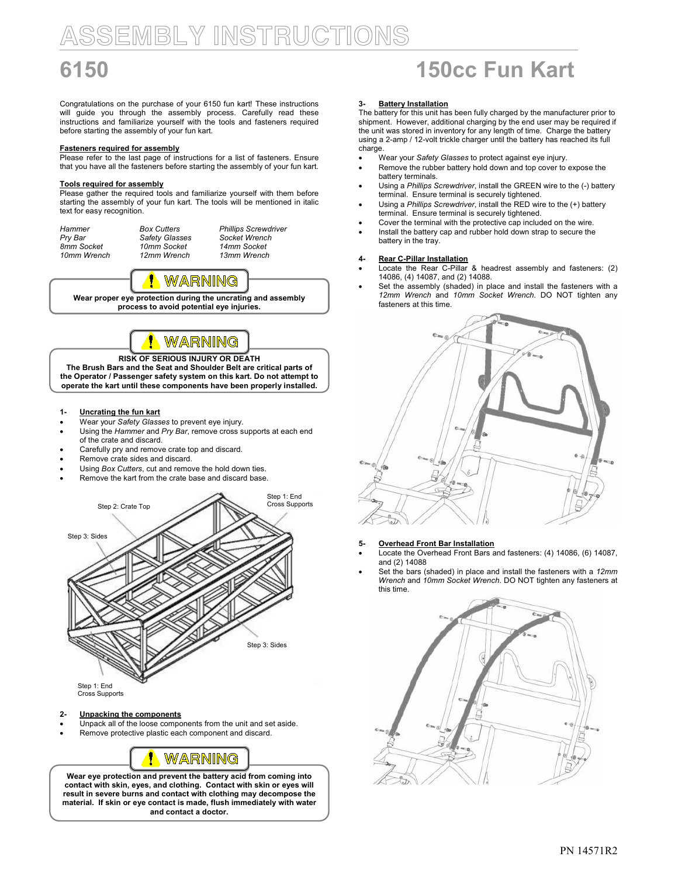# SSEMBLY INSTRUCTIONS

Congratulations on the purchase of your 6150 fun kart! These instructions will guide you through the assembly process. Carefully read these instructions and familiarize yourself with the tools and fasteners required before starting the assembly of your fun kart.

### Fasteners required for assembly

Please refer to the last page of instructions for a list of fasteners. Ensure that you have all the fasteners before starting the assembly of your fun kart.

### Tools required for assembly

Please gather the required tools and familiarize yourself with them before starting the assembly of your fun kart. The tools will be mentioned in italic text for easy recognition.

| Hammer      | <b>Box Cutters</b> | <b>Phillips Screwdriver</b> |
|-------------|--------------------|-----------------------------|
| Pry Bar     | Safety Glasses     | Socket Wrench               |
| 8mm Socket  | 10mm Socket        | 14mm Socket                 |
| 10mm Wrench | 12mm Wrench        | 13mm Wrench                 |



Wear proper eye protection during the uncrating and assembly process to avoid potential eye injuries.



## RISK OF SERIOUS INJURY OR DEATH

The Brush Bars and the Seat and Shoulder Belt are critical parts of the Operator / Passenger safety system on this kart. Do not attempt to operate the kart until these components have been properly installed.

- 1- Uncrating the fun kart
- Wear your Safety Glasses to prevent eye injury.
- Using the Hammer and Pry Bar, remove cross supports at each end
- of the crate and discard.
- Carefully pry and remove crate top and discard.
- Remove crate sides and discard.
- Using Box Cutters, cut and remove the hold down ties.
- Remove the kart from the crate base and discard base.



Cross Supports

## 2- Unpacking the components

- Unpack all of the loose components from the unit and set aside.
- Remove protective plastic each component and discard.



Wear eye protection and prevent the battery acid from coming into contact with skin, eyes, and clothing. Contact with skin or eyes will result in severe burns and contact with clothing may decompose the material. If skin or eye contact is made, flush immediately with water and contact a doctor.

# 6150 150cc Fun Kart

## 3- Battery Installation

The battery for this unit has been fully charged by the manufacturer prior to shipment. However, additional charging by the end user may be required if the unit was stored in inventory for any length of time. Charge the battery using a 2-amp / 12-volt trickle charger until the battery has reached its full charge.

- Wear your Safety Glasses to protect against eye injury.
- Remove the rubber battery hold down and top cover to expose the battery terminals.
- Using a Phillips Screwdriver, install the GREEN wire to the (-) battery terminal. Ensure terminal is securely tightened.
- Using a Phillips Screwdriver, install the RED wire to the (+) battery terminal. Ensure terminal is securely tightened.
- Cover the terminal with the protective cap included on the wire.
- Install the battery cap and rubber hold down strap to secure the battery in the tray.

- 4- Rear C-Pillar Installation Locate the Rear C-Pillar & headrest assembly and fasteners: (2) 14086, (4) 14087, and (2) 14088.
- Set the assembly (shaded) in place and install the fasteners with a 12mm Wrench and 10mm Socket Wrench. DO NOT tighten any fasteners at this time.



5- Overhead Front Bar Installation

- Locate the Overhead Front Bars and fasteners: (4) 14086, (6) 14087, and (2) 14088
- Set the bars (shaded) in place and install the fasteners with a 12mm Wrench and 10mm Socket Wrench. DO NOT tighten any fasteners at this time.

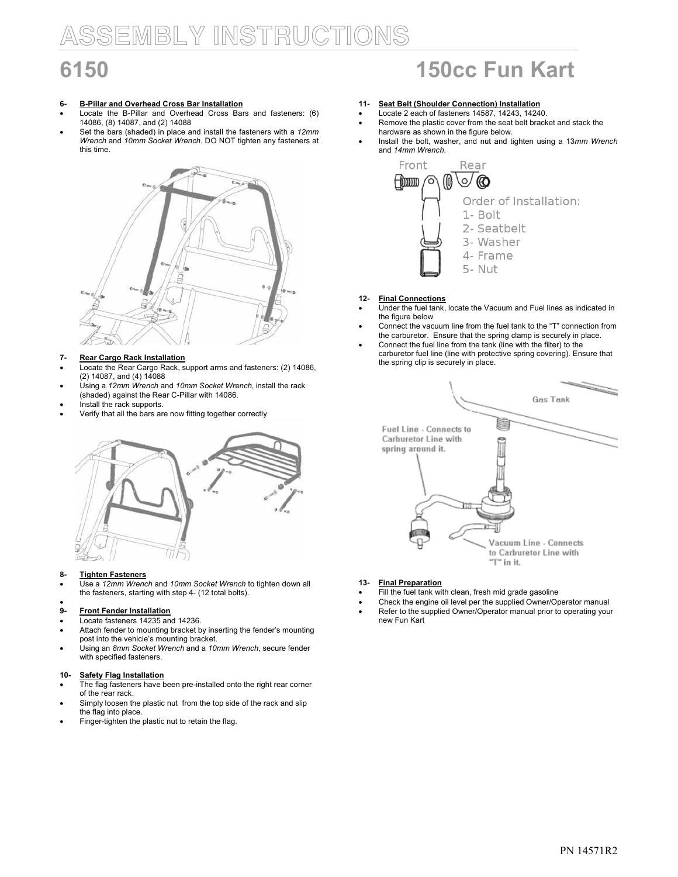# SSEMBLY INSTRUCTIONS

# 6- B-Pillar and Overhead Cross Bar Installation

- Locate the B-Pillar and Overhead Cross Bars and fasteners: (6) 14086, (8) 14087, and (2) 14088
- Set the bars (shaded) in place and install the fasteners with a 12mm Wrench and 10mm Socket Wrench. DO NOT tighten any fasteners at this time.



# 7- Rear Cargo Rack Installation

- Locate the Rear Cargo Rack, support arms and fasteners: (2) 14086, (2) 14087, and (4) 14088
- Using a 12mm Wrench and 10mm Socket Wrench, install the rack (shaded) against the Rear C-Pillar with 14086.
- Install the rack supports.
- Verify that all the bars are now fitting together correctly



## 8- Tighten Fasteners

Use a 12mm Wrench and 10mm Socket Wrench to tighten down all the fasteners, starting with step 4- (12 total bolts).

### • 9- Front Fender Installation

- Locate fasteners 14235 and 14236.
- Attach fender to mounting bracket by inserting the fender's mounting post into the vehicle's mounting bracket.
- Using an 8mm Socket Wrench and a 10mm Wrench, secure fender with specified fasteners.

## 10- Safety Flag Installation

- The flag fasteners have been pre-installed onto the right rear corner of the rear rack.
- Simply loosen the plastic nut from the top side of the rack and slip the flag into place.
- Finger-tighten the plastic nut to retain the flag.

# 6150 150cc Fun Kart

- 11- Seat Belt (Shoulder Connection) Installation
- Locate 2 each of fasteners 14587, 14243, 14240. Remove the plastic cover from the seat belt bracket and stack the
- hardware as shown in the figure below.
- Install the bolt, washer, and nut and tighten using a 13mm Wrench and 14mm Wrench.



# 12- Final Connections

- Under the fuel tank, locate the Vacuum and Fuel lines as indicated in the figure below
- Connect the vacuum line from the fuel tank to the "T" connection from the carburetor. Ensure that the spring clamp is securely in place.
- Connect the fuel line from the tank (line with the filter) to the carburetor fuel line (line with protective spring covering). Ensure that the spring clip is securely in place.



## 13- Final Preparation

- Fill the fuel tank with clean, fresh mid grade gasoline
- Check the engine oil level per the supplied Owner/Operator manual Refer to the supplied Owner/Operator manual prior to operating your
- new Fun Kart